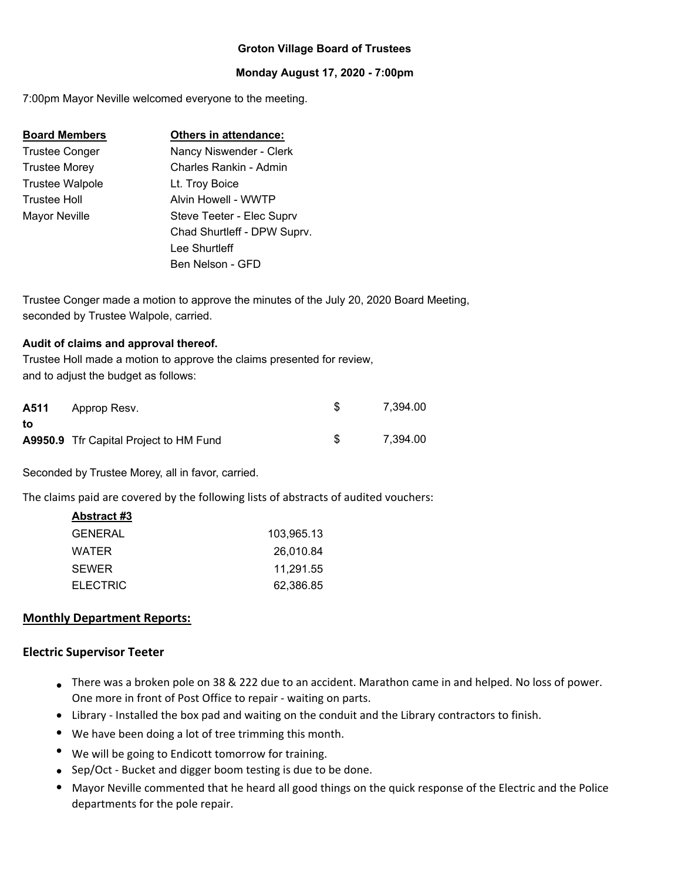# **Groton Village Board of Trustees**

## **Monday August 17, 2020 - 7:00pm**

7:00pm Mayor Neville welcomed everyone to the meeting.

| <b>Board Members</b> | Others in attendance:       |
|----------------------|-----------------------------|
| Trustee Conger       | Nancy Niswender - Clerk     |
| Trustee Morey        | Charles Rankin - Admin      |
| Trustee Walpole      | Lt. Troy Boice              |
| Trustee Holl         | Alvin Howell - WWTP         |
| Mayor Neville        | Steve Teeter - Elec Suprv   |
|                      | Chad Shurtleff - DPW Suprv. |
|                      | Lee Shurtleff               |
|                      | Ben Nelson - GFD            |

Trustee Conger made a motion to approve the minutes of the July 20, 2020 Board Meeting, seconded by Trustee Walpole, carried.

#### **Audit of claims and approval thereof.**

Trustee Holl made a motion to approve the claims presented for review, and to adjust the budget as follows:

|    | <b>A511</b> Approp Resv.                      | 7.394.00 |
|----|-----------------------------------------------|----------|
| to |                                               |          |
|    | <b>A9950.9</b> Tfr Capital Project to HM Fund | 7.394.00 |

Seconded by Trustee Morey, all in favor, carried.

The claims paid are covered by the following lists of abstracts of audited vouchers:

| Abstract #3     |            |
|-----------------|------------|
| GENERAL         | 103.965.13 |
| WATER           | 26,010.84  |
| <b>SEWER</b>    | 11.291.55  |
| <b>ELECTRIC</b> | 62,386.85  |
|                 |            |

## **Monthly Department Reports:**

#### **Electric Supervisor Teeter**

- There was a broken pole on 38 & 222 due to an accident. Marathon came in and helped. No loss of power. One more in front of Post Office to repair ‐ waiting on parts.
- Library ‐ Installed the box pad and waiting on the conduit and the Library contractors to finish.
- We have been doing a lot of tree trimming this month.
- We will be going to Endicott tomorrow for training.
- Sep/Oct Bucket and digger boom testing is due to be done.
- Mayor Neville commented that he heard all good things on the quick response of the Electric and the Police departments for the pole repair.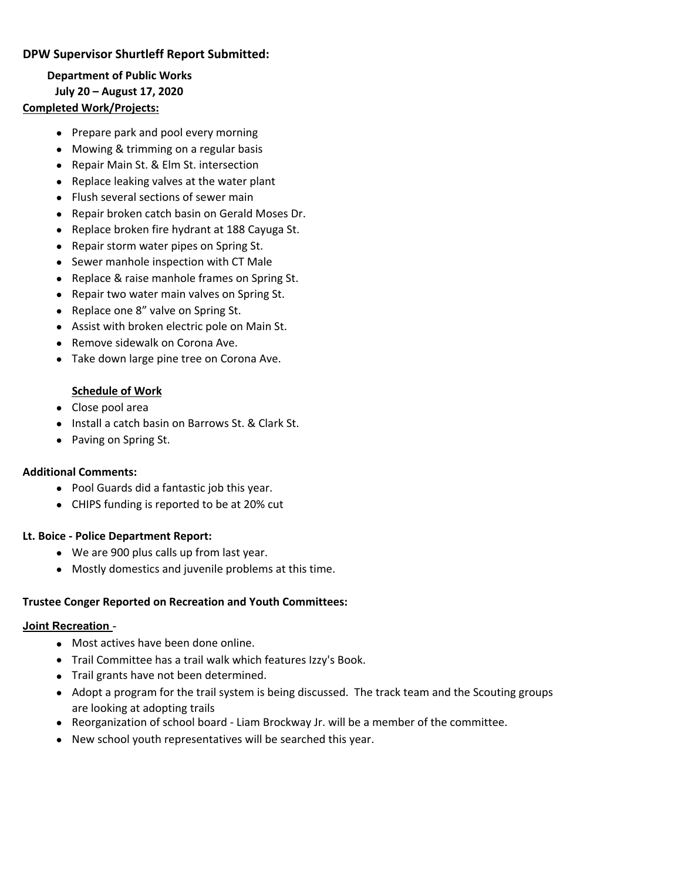# **DPW Supervisor Shurtleff Report Submitted:**

**Department of Public Works July 20 – August 17, 2020**

# **Completed Work/Projects:**

- Prepare park and pool every morning
- Mowing & trimming on a regular basis
- Repair Main St. & Elm St. intersection
- Replace leaking valves at the water plant
- Flush several sections of sewer main
- Repair broken catch basin on Gerald Moses Dr.
- Replace broken fire hydrant at 188 Cayuga St.
- Repair storm water pipes on Spring St.
- Sewer manhole inspection with CT Male
- Replace & raise manhole frames on Spring St.
- Repair two water main valves on Spring St.
- Replace one 8" valve on Spring St.
- Assist with broken electric pole on Main St.
- Remove sidewalk on Corona Ave.
- Take down large pine tree on Corona Ave.

## **Schedule of Work**

- Close pool area
- **Install a catch basin on Barrows St. & Clark St.**
- Paving on Spring St.

## **Additional Comments:**

- Pool Guards did a fantastic job this year.
- CHIPS funding is reported to be at 20% cut

## **Lt. Boice ‐ Police Department Report:**

- We are 900 plus calls up from last year.
- Mostly domestics and juvenile problems at this time.

## **Trustee Conger Reported on Recreation and Youth Committees:**

#### **Joint Recreation** -

- Most actives have been done online.
- Trail Committee has a trail walk which features Izzy's Book.
- Trail grants have not been determined.
- Adopt a program for the trail system is being discussed. The track team and the Scouting groups are looking at adopting trails
- Reorganization of school board Liam Brockway Jr. will be a member of the committee.
- New school youth representatives will be searched this year.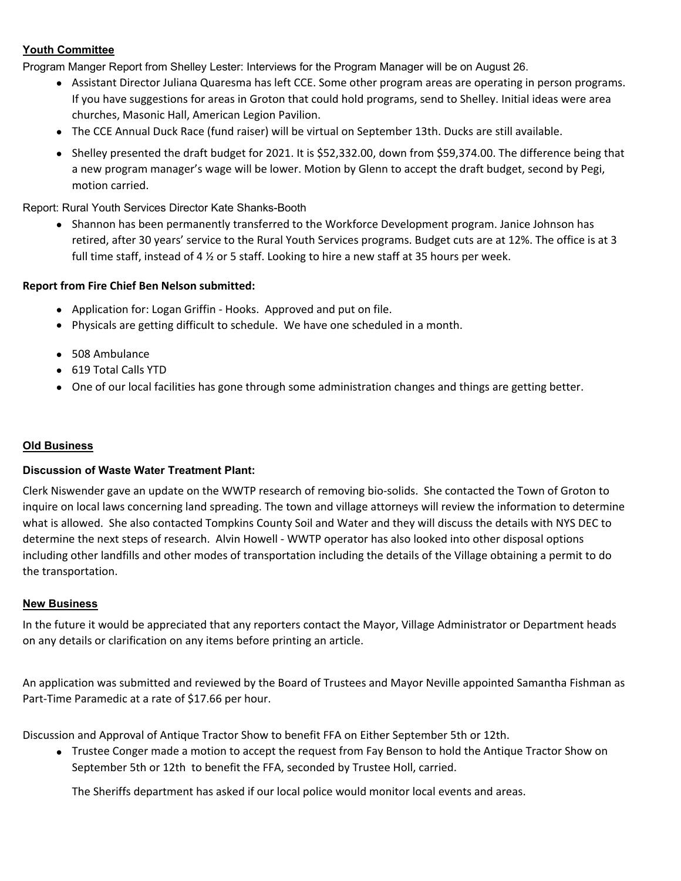# **Youth Committee**

Program Manger Report from Shelley Lester: Interviews for the Program Manager will be on August 26.

- Assistant Director Juliana Quaresma has left CCE. Some other program areas are operating in person programs. If you have suggestions for areas in Groton that could hold programs, send to Shelley. Initial ideas were area churches, Masonic Hall, American Legion Pavilion.
- The CCE Annual Duck Race (fund raiser) will be virtual on September 13th. Ducks are still available.
- Shelley presented the draft budget for 2021. It is \$52,332.00, down from \$59,374.00. The difference being that a new program manager's wage will be lower. Motion by Glenn to accept the draft budget, second by Pegi, motion carried.

Report: Rural Youth Services Director Kate Shanks-Booth

• Shannon has been permanently transferred to the Workforce Development program. Janice Johnson has retired, after 30 years' service to the Rural Youth Services programs. Budget cuts are at 12%. The office is at 3 full time staff, instead of 4  $\frac{1}{2}$  or 5 staff. Looking to hire a new staff at 35 hours per week.

# **Report from Fire Chief Ben Nelson submitted:**

- Application for: Logan Griffin ‐ Hooks. Approved and put on file.
- Physicals are getting difficult to schedule. We have one scheduled in a month.
- 508 Ambulance
- 619 Total Calls YTD
- One of our local facilities has gone through some administration changes and things are getting better.

## **Old Business**

## **Discussion of Waste Water Treatment Plant:**

Clerk Niswender gave an update on the WWTP research of removing bio‐solids. She contacted the Town of Groton to inquire on local laws concerning land spreading. The town and village attorneys will review the information to determine what is allowed. She also contacted Tompkins County Soil and Water and they will discuss the details with NYS DEC to determine the next steps of research. Alvin Howell ‐ WWTP operator has also looked into other disposal options including other landfills and other modes of transportation including the details of the Village obtaining a permit to do the transportation.

## **New Business**

In the future it would be appreciated that any reporters contact the Mayor, Village Administrator or Department heads on any details or clarification on any items before printing an article.

An application was submitted and reviewed by the Board of Trustees and Mayor Neville appointed Samantha Fishman as Part‐Time Paramedic at a rate of \$17.66 per hour.

Discussion and Approval of Antique Tractor Show to benefit FFA on Either September 5th or 12th.

 Trustee Conger made a motion to accept the request from Fay Benson to hold the Antique Tractor Show on September 5th or 12th to benefit the FFA, seconded by Trustee Holl, carried.

The Sheriffs department has asked if our local police would monitor local events and areas.